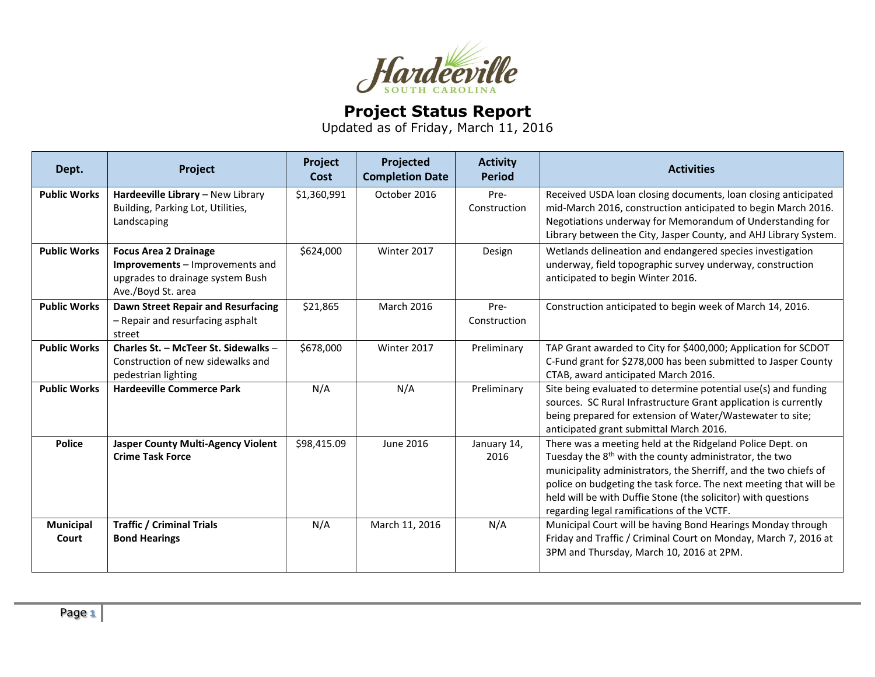

## **Project Status Report**

Updated as of Friday, March 11, 2016

| Dept.               | Project                                                                                                                   | Project<br>Cost | Projected<br><b>Completion Date</b> | <b>Activity</b><br><b>Period</b> | <b>Activities</b>                                                                                                                                                                                                                                                                                                                                                                       |
|---------------------|---------------------------------------------------------------------------------------------------------------------------|-----------------|-------------------------------------|----------------------------------|-----------------------------------------------------------------------------------------------------------------------------------------------------------------------------------------------------------------------------------------------------------------------------------------------------------------------------------------------------------------------------------------|
| <b>Public Works</b> | Hardeeville Library - New Library<br>Building, Parking Lot, Utilities,<br>Landscaping                                     | \$1,360,991     | October 2016                        | Pre-<br>Construction             | Received USDA loan closing documents, loan closing anticipated<br>mid-March 2016, construction anticipated to begin March 2016.<br>Negotiations underway for Memorandum of Understanding for<br>Library between the City, Jasper County, and AHJ Library System.                                                                                                                        |
| <b>Public Works</b> | <b>Focus Area 2 Drainage</b><br>Improvements – Improvements and<br>upgrades to drainage system Bush<br>Ave./Boyd St. area | \$624,000       | Winter 2017                         | Design                           | Wetlands delineation and endangered species investigation<br>underway, field topographic survey underway, construction<br>anticipated to begin Winter 2016.                                                                                                                                                                                                                             |
| <b>Public Works</b> | <b>Dawn Street Repair and Resurfacing</b><br>- Repair and resurfacing asphalt<br>street                                   | \$21,865        | March 2016                          | Pre-<br>Construction             | Construction anticipated to begin week of March 14, 2016.                                                                                                                                                                                                                                                                                                                               |
| <b>Public Works</b> | Charles St. - McTeer St. Sidewalks -<br>Construction of new sidewalks and<br>pedestrian lighting                          | \$678,000       | Winter 2017                         | Preliminary                      | TAP Grant awarded to City for \$400,000; Application for SCDOT<br>C-Fund grant for \$278,000 has been submitted to Jasper County<br>CTAB, award anticipated March 2016.                                                                                                                                                                                                                 |
| <b>Public Works</b> | <b>Hardeeville Commerce Park</b>                                                                                          | N/A             | N/A                                 | Preliminary                      | Site being evaluated to determine potential use(s) and funding<br>sources. SC Rural Infrastructure Grant application is currently<br>being prepared for extension of Water/Wastewater to site;<br>anticipated grant submittal March 2016.                                                                                                                                               |
| <b>Police</b>       | <b>Jasper County Multi-Agency Violent</b><br><b>Crime Task Force</b>                                                      | \$98,415.09     | June 2016                           | January 14,<br>2016              | There was a meeting held at the Ridgeland Police Dept. on<br>Tuesday the 8 <sup>th</sup> with the county administrator, the two<br>municipality administrators, the Sherriff, and the two chiefs of<br>police on budgeting the task force. The next meeting that will be<br>held will be with Duffie Stone (the solicitor) with questions<br>regarding legal ramifications of the VCTF. |
| Municipal<br>Court  | <b>Traffic / Criminal Trials</b><br><b>Bond Hearings</b>                                                                  | N/A             | March 11, 2016                      | N/A                              | Municipal Court will be having Bond Hearings Monday through<br>Friday and Traffic / Criminal Court on Monday, March 7, 2016 at<br>3PM and Thursday, March 10, 2016 at 2PM.                                                                                                                                                                                                              |